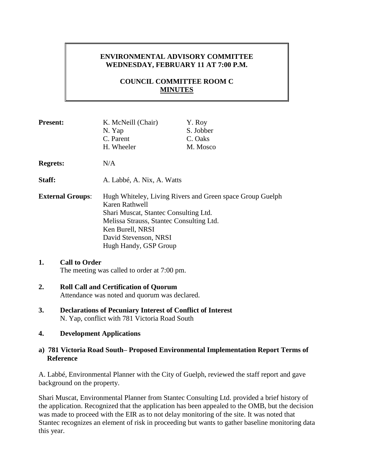# **ENVIRONMENTAL ADVISORY COMMITTEE WEDNESDAY, FEBRUARY 11 AT 7:00 P.M.**

# **COUNCIL COMMITTEE ROOM C MINUTES**

| <b>Present:</b>         | K. McNeill (Chair)<br>N. Yap<br>C. Parent<br>H. Wheeler                                                                                                                                                                                | Y. Roy<br>S. Jobber<br>C. Oaks<br>M. Mosco |
|-------------------------|----------------------------------------------------------------------------------------------------------------------------------------------------------------------------------------------------------------------------------------|--------------------------------------------|
| <b>Regrets:</b>         | N/A                                                                                                                                                                                                                                    |                                            |
| Staff:                  | A. Labbé, A. Nix, A. Watts                                                                                                                                                                                                             |                                            |
| <b>External Groups:</b> | Hugh Whiteley, Living Rivers and Green space Group Guelph<br>Karen Rathwell<br>Shari Muscat, Stantec Consulting Ltd.<br>Melissa Strauss, Stantec Consulting Ltd.<br>Ken Burell, NRSI<br>David Stevenson, NRSI<br>Hugh Handy, GSP Group |                                            |

# **1. Call to Order**

The meeting was called to order at 7:00 pm.

#### **2. Roll Call and Certification of Quorum** Attendance was noted and quorum was declared.

**3. Declarations of Pecuniary Interest of Conflict of Interest** N. Yap, conflict with 781 Victoria Road South

#### **4. Development Applications**

#### **a) 781 Victoria Road South– Proposed Environmental Implementation Report Terms of Reference**

A. Labbé, Environmental Planner with the City of Guelph, reviewed the staff report and gave background on the property.

Shari Muscat, Environmental Planner from Stantec Consulting Ltd. provided a brief history of the application. Recognized that the application has been appealed to the OMB, but the decision was made to proceed with the EIR as to not delay monitoring of the site. It was noted that Stantec recognizes an element of risk in proceeding but wants to gather baseline monitoring data this year.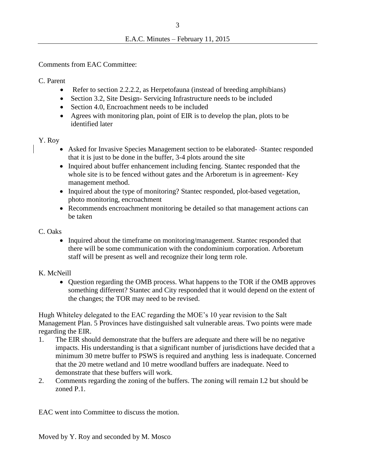Comments from EAC Committee:

C. Parent

- Refer to section 2.2.2.2, as Herpetofauna (instead of breeding amphibians)
- Section 3.2, Site Design- Servicing Infrastructure needs to be included
- Section 4.0, Encroachment needs to be included
- Agrees with monitoring plan, point of EIR is to develop the plan, plots to be identified later

## Y. Roy

- Asked for Invasive Species Management section to be elaborated--Stantec responded that it is just to be done in the buffer, 3-4 plots around the site
- Inquired about buffer enhancement including fencing. Stantec responded that the whole site is to be fenced without gates and the Arboretum is in agreement- Key management method.
- Inquired about the type of monitoring? Stantec responded, plot-based vegetation, photo monitoring, encroachment
- Recommends encroachment monitoring be detailed so that management actions can be taken

## C. Oaks

• Inquired about the timeframe on monitoring/management. Stantec responded that there will be some communication with the condominium corporation. Arboretum staff will be present as well and recognize their long term role.

## K. McNeill

• Ouestion regarding the OMB process. What happens to the TOR if the OMB approves something different? Stantec and City responded that it would depend on the extent of the changes; the TOR may need to be revised.

Hugh Whiteley delegated to the EAC regarding the MOE's 10 year revision to the Salt Management Plan. 5 Provinces have distinguished salt vulnerable areas. Two points were made regarding the EIR.

- 1. The EIR should demonstrate that the buffers are adequate and there will be no negative impacts. His understanding is that a significant number of jurisdictions have decided that a minimum 30 metre buffer to PSWS is required and anything less is inadequate. Concerned that the 20 metre wetland and 10 metre woodland buffers are inadequate. Need to demonstrate that these buffers will work.
- 2. Comments regarding the zoning of the buffers. The zoning will remain I.2 but should be zoned P.1.

EAC went into Committee to discuss the motion.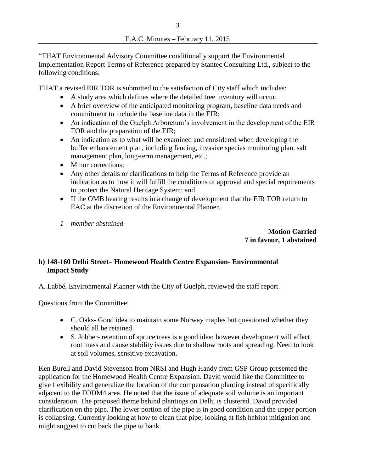"THAT Environmental Advisory Committee conditionally support the Environmental Implementation Report Terms of Reference prepared by Stantec Consulting Ltd., subject to the following conditions:

THAT a revised EIR TOR is submitted to the satisfaction of City staff which includes:

- A study area which defines where the detailed tree inventory will occur;
- A brief overview of the anticipated monitoring program, baseline data needs and commitment to include the baseline data in the EIR;
- An indication of the Guelph Arboretum's involvement in the development of the EIR TOR and the preparation of the EIR;
- An indication as to what will be examined and considered when developing the buffer enhancement plan, including fencing, invasive species monitoring plan, salt management plan, long-term management, etc.;
- Minor corrections:
- Any other details or clarifications to help the Terms of Reference provide an indication as to how it will fulfill the conditions of approval and special requirements to protect the Natural Heritage System; and
- If the OMB hearing results in a change of development that the EIR TOR return to EAC at the discretion of the Environmental Planner.
- *1 member abstained*

 **Motion Carried 7 in favour, 1 abstained**

# **b) 148-160 Delhi Street– Homewood Health Centre Expansion- Environmental Impact Study**

A. Labbé, Environmental Planner with the City of Guelph, reviewed the staff report.

Questions from the Committee:

- C. Oaks- Good idea to maintain some Norway maples but questioned whether they should all be retained.
- S. Jobber- retention of spruce trees is a good idea; however development will affect root mass and cause stability issues due to shallow roots and spreading. Need to look at soil volumes, sensitive excavation.

Ken Burell and David Stevenson from NRSI and Hugh Handy from GSP Group presented the application for the Homewood Health Centre Expansion. David would like the Committee to give flexibility and generalize the location of the compensation planting instead of specifically adjacent to the FODM4 area. He noted that the issue of adequate soil volume is an important consideration. The proposed theme behind plantings on Delhi is clustered. David provided clarification on the pipe. The lower portion of the pipe is in good condition and the upper portion is collapsing. Currently looking at how to clean that pipe; looking at fish habitat mitigation and might suggest to cut back the pipe to bank.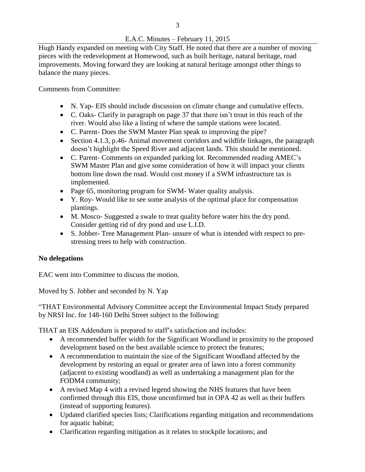## E.A.C. Minutes – February 11, 2015

Hugh Handy expanded on meeting with City Staff. He noted that there are a number of moving pieces with the redevelopment at Homewood, such as built heritage, natural heritage, road improvements. Moving forward they are looking at natural heritage amongst other things to balance the many pieces.

Comments from Committee:

- N. Yap- EIS should include discussion on climate change and cumulative effects.
- C. Oaks- Clarify in paragraph on page 37 that there isn't trout in this reach of the river. Would also like a listing of where the sample stations were located.
- C. Parent- Does the SWM Master Plan speak to improving the pipe?
- Section 4.1.3, p.46- Animal movement corridors and wildlife linkages, the paragraph doesn't highlight the Speed River and adjacent lands. This should be mentioned.
- C. Parent- Comments on expanded parking lot. Recommended reading AMEC's SWM Master Plan and give some consideration of how it will impact your clients bottom line down the road. Would cost money if a SWM infrastructure tax is implemented.
- Page 65, monitoring program for SWM-Water quality analysis.
- Y. Roy- Would like to see some analysis of the optimal place for compensation plantings.
- M. Mosco- Suggested a swale to treat quality before water hits the dry pond. Consider getting rid of dry pond and use L.I.D.
- S. Jobber- Tree Management Plan- unsure of what is intended with respect to prestressing trees to help with construction.

## **No delegations**

EAC went into Committee to discuss the motion.

Moved by S. Jobber and seconded by N. Yap

"THAT Environmental Advisory Committee accept the Environmental Impact Study prepared by NRSI Inc. for 148-160 Delhi Street subject to the following:

THAT an EIS Addendum is prepared to staff's satisfaction and includes:

- A recommended buffer width for the Significant Woodland in proximity to the proposed development based on the best available science to protect the features;
- A recommendation to maintain the size of the Significant Woodland affected by the development by restoring an equal or greater area of lawn into a forest community (adjacent to existing woodland) as well as undertaking a management plan for the FODM4 community;
- A revised Map 4 with a revised legend showing the NHS features that have been confirmed through this EIS, those unconfirmed but in OPA 42 as well as their buffers (instead of supporting features).
- Updated clarified species lists; Clarifications regarding mitigation and recommendations for aquatic habitat;
- Clarification regarding mitigation as it relates to stockpile locations; and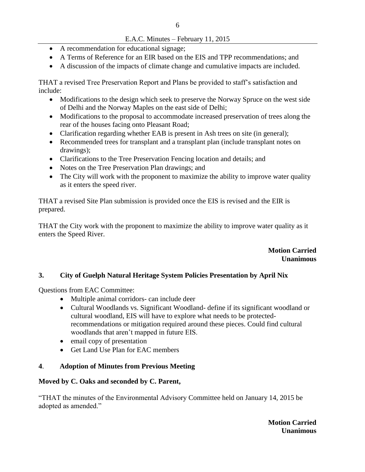## E.A.C. Minutes – February 11, 2015

- A recommendation for educational signage;
- A Terms of Reference for an EIR based on the EIS and TPP recommendations; and
- A discussion of the impacts of climate change and cumulative impacts are included.

THAT a revised Tree Preservation Report and Plans be provided to staff's satisfaction and include:

- Modifications to the design which seek to preserve the Norway Spruce on the west side of Delhi and the Norway Maples on the east side of Delhi;
- Modifications to the proposal to accommodate increased preservation of trees along the rear of the houses facing onto Pleasant Road;
- Clarification regarding whether EAB is present in Ash trees on site (in general);
- Recommended trees for transplant and a transplant plan (include transplant notes on drawings);
- Clarifications to the Tree Preservation Fencing location and details; and
- Notes on the Tree Preservation Plan drawings; and
- The City will work with the proponent to maximize the ability to improve water quality as it enters the speed river.

THAT a revised Site Plan submission is provided once the EIS is revised and the EIR is prepared.

THAT the City work with the proponent to maximize the ability to improve water quality as it enters the Speed River.

## **Motion Carried Unanimous**

## **3. City of Guelph Natural Heritage System Policies Presentation by April Nix**

Questions from EAC Committee:

- Multiple animal corridors- can include deer
- Cultural Woodlands vs. Significant Woodland- define if its significant woodland or cultural woodland, EIS will have to explore what needs to be protectedrecommendations or mitigation required around these pieces. Could find cultural woodlands that aren't mapped in future EIS.
- email copy of presentation
- Get Land Use Plan for EAC members

## **4**. **Adoption of Minutes from Previous Meeting**

## **Moved by C. Oaks and seconded by C. Parent,**

"THAT the minutes of the Environmental Advisory Committee held on January 14, 2015 be adopted as amended."

> **Motion Carried Unanimous**